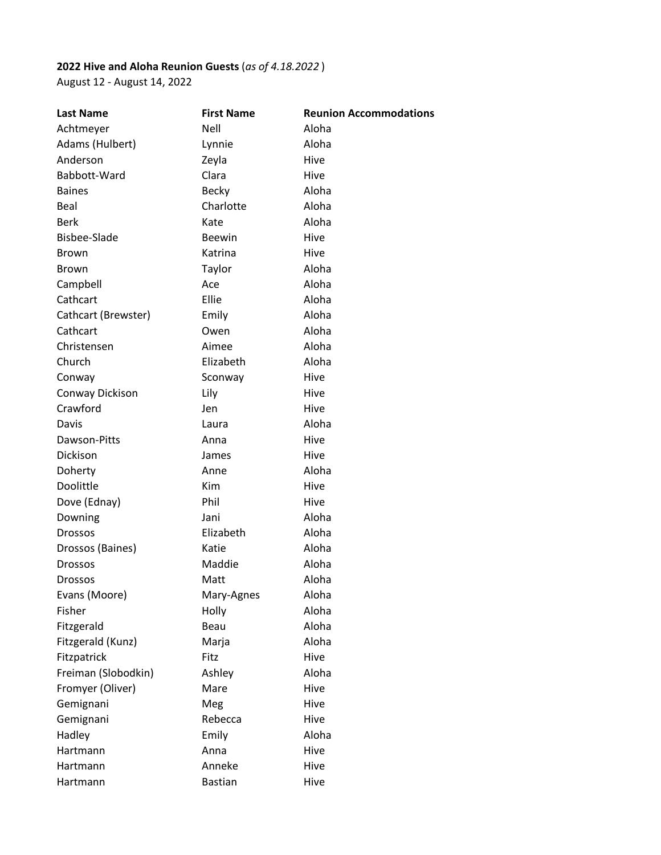## **2022 Hive and Aloha Reunion Guests** (*as of 4.18.2022* )

August 12 - August 14, 2022

| <b>Last Name</b>    | <b>First Name</b> | <b>Reunion Accommodations</b> |
|---------------------|-------------------|-------------------------------|
| Achtmeyer           | <b>Nell</b>       | Aloha                         |
| Adams (Hulbert)     | Lynnie            | Aloha                         |
| Anderson            | Zeyla             | Hive                          |
| Babbott-Ward        | Clara             | Hive                          |
| <b>Baines</b>       | <b>Becky</b>      | Aloha                         |
| Beal                | Charlotte         | Aloha                         |
| <b>Berk</b>         | Kate              | Aloha                         |
| <b>Bisbee-Slade</b> | <b>Beewin</b>     | Hive                          |
| <b>Brown</b>        | Katrina           | Hive                          |
| <b>Brown</b>        | Taylor            | Aloha                         |
| Campbell            | Ace               | Aloha                         |
| Cathcart            | Ellie             | Aloha                         |
| Cathcart (Brewster) | Emily             | Aloha                         |
| Cathcart            | Owen              | Aloha                         |
| Christensen         | Aimee             | Aloha                         |
| Church              | Elizabeth         | Aloha                         |
| Conway              | Sconway           | Hive                          |
| Conway Dickison     | Lily              | Hive                          |
| Crawford            | Jen               | Hive                          |
| Davis               | Laura             | Aloha                         |
| Dawson-Pitts        | Anna              | Hive                          |
| Dickison            | James             | Hive                          |
| Doherty             | Anne              | Aloha                         |
| Doolittle           | Kim               | Hive                          |
| Dove (Ednay)        | Phil              | Hive                          |
| Downing             | Jani              | Aloha                         |
| <b>Drossos</b>      | Elizabeth         | Aloha                         |
| Drossos (Baines)    | Katie             | Aloha                         |
| <b>Drossos</b>      | Maddie            | Aloha                         |
| <b>Drossos</b>      | Matt              | Aloha                         |
| Evans (Moore)       | Mary-Agnes        | Aloha                         |
| Fisher              | Holly             | Aloha                         |
| Fitzgerald          | Beau              | Aloha                         |
| Fitzgerald (Kunz)   | Marja             | Aloha                         |
| Fitzpatrick         | Fitz              | Hive                          |
| Freiman (Slobodkin) | Ashley            | Aloha                         |
| Fromyer (Oliver)    | Mare              | Hive                          |
| Gemignani           | Meg               | Hive                          |
| Gemignani           | Rebecca           | Hive                          |
| Hadley              | Emily             | Aloha                         |
| Hartmann            | Anna              | Hive                          |
| Hartmann            | Anneke            | Hive                          |
| Hartmann            | <b>Bastian</b>    | Hive                          |
|                     |                   |                               |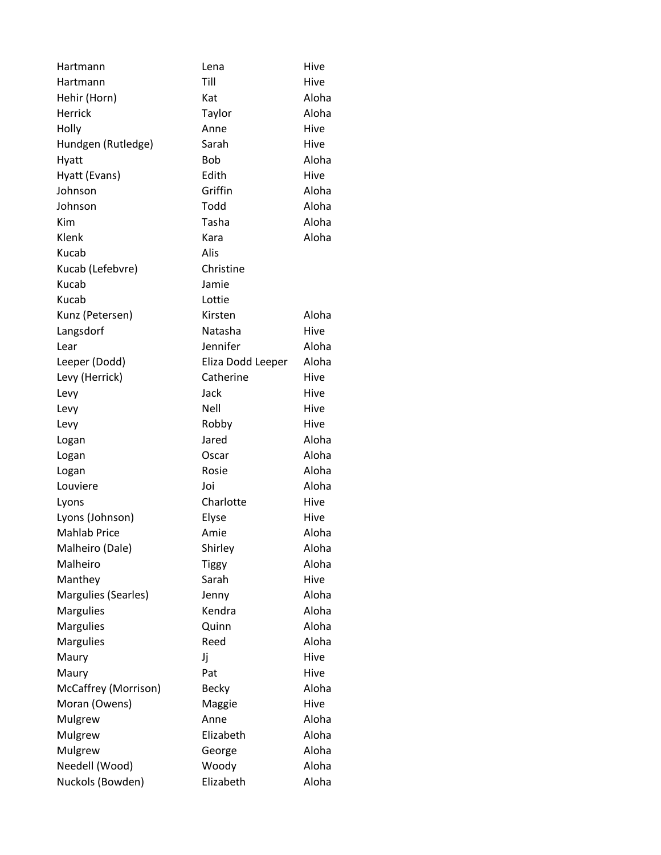| Hartmann             | Lena              | Hive  |
|----------------------|-------------------|-------|
| Hartmann             | Till              | Hive  |
| Hehir (Horn)         | Kat               | Aloha |
| Herrick              | Taylor            | Aloha |
| Holly                | Anne              | Hive  |
| Hundgen (Rutledge)   | Sarah             | Hive  |
| Hyatt                | Bob               | Aloha |
| Hyatt (Evans)        | Edith             | Hive  |
| Johnson              | Griffin           | Aloha |
| Johnson              | Todd              | Aloha |
| Kim                  | Tasha             | Aloha |
| Klenk                | Kara              | Aloha |
| Kucab                | Alis              |       |
| Kucab (Lefebvre)     | Christine         |       |
| Kucab                | Jamie             |       |
| Kucab                | Lottie            |       |
| Kunz (Petersen)      | Kirsten           | Aloha |
| Langsdorf            | Natasha           | Hive  |
| Lear                 | Jennifer          | Aloha |
| Leeper (Dodd)        | Eliza Dodd Leeper | Aloha |
| Levy (Herrick)       | Catherine         | Hive  |
| Levy                 | Jack              | Hive  |
| Levy                 | Nell              | Hive  |
| Levy                 | Robby             | Hive  |
| Logan                | Jared             | Aloha |
| Logan                | Oscar             | Aloha |
| Logan                | Rosie             | Aloha |
| Louviere             | Joi               | Aloha |
| Lyons                | Charlotte         | Hive  |
| Lyons (Johnson)      | Elyse             | Hive  |
| <b>Mahlab Price</b>  | Amie              | Aloha |
| Malheiro (Dale)      | Shirley           | Aloha |
| Malheiro             | <b>Tiggy</b>      | Aloha |
| Manthey              | Sarah             | Hive  |
| Margulies (Searles)  | Jenny             | Aloha |
| Margulies            | Kendra            | Aloha |
| <b>Margulies</b>     | Quinn             | Aloha |
| <b>Margulies</b>     | Reed              | Aloha |
| Maury                | Jj                | Hive  |
| Maury                | Pat               | Hive  |
| McCaffrey (Morrison) | <b>Becky</b>      | Aloha |
| Moran (Owens)        | Maggie            | Hive  |
| Mulgrew              | Anne              | Aloha |
| Mulgrew              | Elizabeth         | Aloha |
| Mulgrew              | George            | Aloha |
| Needell (Wood)       | Woody             | Aloha |
| Nuckols (Bowden)     | Elizabeth         | Aloha |